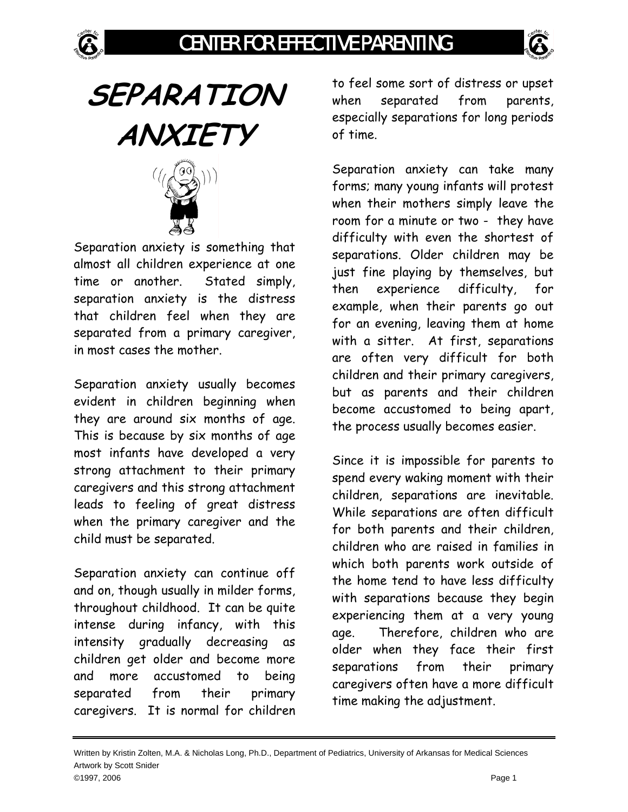

## CENTER FOR EFFECTIVE PARENTING



**SEPARATION ANXIETY**



Separation anxiety is something that almost all children experience at one time or another. Stated simply, separation anxiety is the distress that children feel when they are separated from a primary caregiver, in most cases the mother.

Separation anxiety usually becomes evident in children beginning when they are around six months of age. This is because by six months of age most infants have developed a very strong attachment to their primary caregivers and this strong attachment leads to feeling of great distress when the primary caregiver and the child must be separated.

Separation anxiety can continue off and on, though usually in milder forms, throughout childhood. It can be quite intense during infancy, with this intensity gradually decreasing as children get older and become more and more accustomed to being separated from their primary caregivers. It is normal for children

to feel some sort of distress or upset when separated from parents, especially separations for long periods of time.

Separation anxiety can take many forms; many young infants will protest when their mothers simply leave the room for a minute or two - they have difficulty with even the shortest of separations. Older children may be just fine playing by themselves, but then experience difficulty, for example, when their parents go out for an evening, leaving them at home with a sitter. At first, separations are often very difficult for both children and their primary caregivers, but as parents and their children become accustomed to being apart, the process usually becomes easier.

Since it is impossible for parents to spend every waking moment with their children, separations are inevitable. While separations are often difficult for both parents and their children, children who are raised in families in which both parents work outside of the home tend to have less difficulty with separations because they begin experiencing them at a very young age. Therefore, children who are older when they face their first separations from their primary caregivers often have a more difficult time making the adjustment.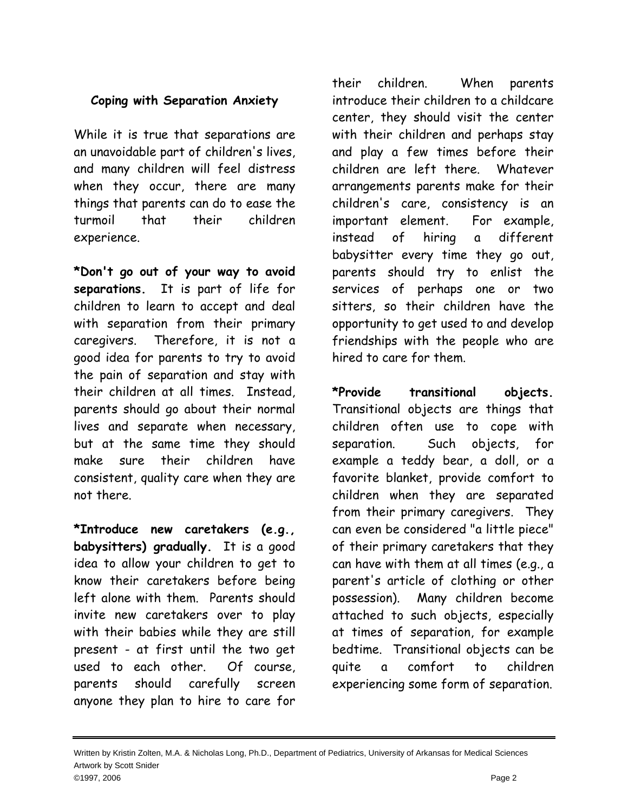## **Coping with Separation Anxiety**

While it is true that separations are an unavoidable part of children's lives, and many children will feel distress when they occur, there are many things that parents can do to ease the turmoil that their children experience.

**\*Don't go out of your way to avoid separations.** It is part of life for children to learn to accept and deal with separation from their primary caregivers. Therefore, it is not a good idea for parents to try to avoid the pain of separation and stay with their children at all times. Instead, parents should go about their normal lives and separate when necessary, but at the same time they should make sure their children have consistent, quality care when they are not there.

**\*Introduce new caretakers (e.g., babysitters) gradually.** It is a good idea to allow your children to get to know their caretakers before being left alone with them. Parents should invite new caretakers over to play with their babies while they are still present - at first until the two get used to each other. Of course, parents should carefully screen anyone they plan to hire to care for

their children. When parents introduce their children to a childcare center, they should visit the center with their children and perhaps stay and play a few times before their children are left there. Whatever arrangements parents make for their children's care, consistency is an important element. For example, instead of hiring a different babysitter every time they go out, parents should try to enlist the services of perhaps one or two sitters, so their children have the opportunity to get used to and develop friendships with the people who are hired to care for them.

**\*Provide transitional objects.** Transitional objects are things that children often use to cope with separation. Such objects, for example a teddy bear, a doll, or a favorite blanket, provide comfort to children when they are separated from their primary caregivers. They can even be considered "a little piece" of their primary caretakers that they can have with them at all times (e.g., a parent's article of clothing or other possession). Many children become attached to such objects, especially at times of separation, for example bedtime. Transitional objects can be quite a comfort to children experiencing some form of separation.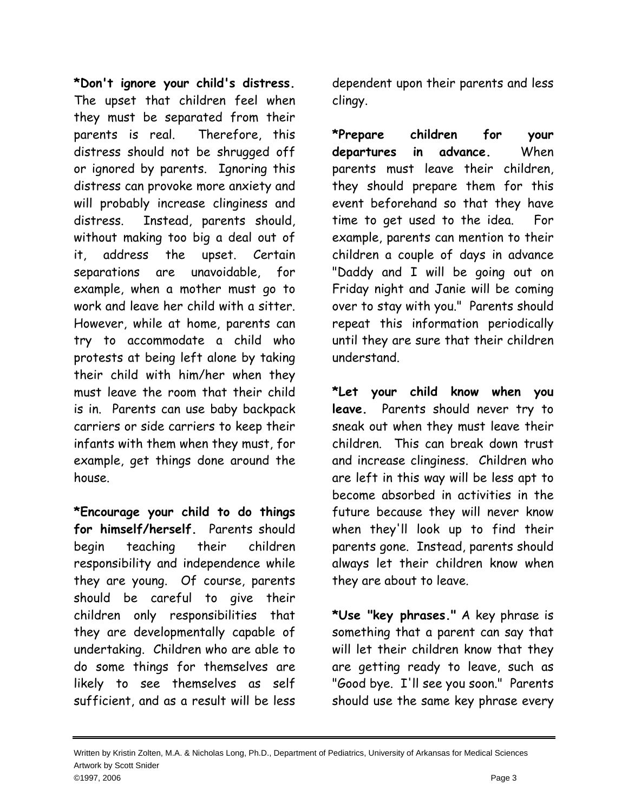**\*Don't ignore your child's distress.** The upset that children feel when they must be separated from their parents is real. Therefore, this distress should not be shrugged off or ignored by parents. Ignoring this distress can provoke more anxiety and will probably increase clinginess and distress. Instead, parents should, without making too big a deal out of it, address the upset. Certain separations are unavoidable, for example, when a mother must go to work and leave her child with a sitter. However, while at home, parents can try to accommodate a child who protests at being left alone by taking their child with him/her when they must leave the room that their child is in. Parents can use baby backpack carriers or side carriers to keep their infants with them when they must, for example, get things done around the house.

**\*Encourage your child to do things for himself/herself.** Parents should begin teaching their children responsibility and independence while they are young. Of course, parents should be careful to give their children only responsibilities that they are developmentally capable of undertaking. Children who are able to do some things for themselves are likely to see themselves as self sufficient, and as a result will be less

dependent upon their parents and less clingy.

**\*Prepare children for your departures in advance.** When parents must leave their children, they should prepare them for this event beforehand so that they have time to get used to the idea. For example, parents can mention to their children a couple of days in advance "Daddy and I will be going out on Friday night and Janie will be coming over to stay with you." Parents should repeat this information periodically until they are sure that their children understand.

**\*Let your child know when you leave.** Parents should never try to sneak out when they must leave their children. This can break down trust and increase clinginess. Children who are left in this way will be less apt to become absorbed in activities in the future because they will never know when they'll look up to find their parents gone. Instead, parents should always let their children know when they are about to leave.

**\*Use "key phrases."** A key phrase is something that a parent can say that will let their children know that they are getting ready to leave, such as "Good bye. I'll see you soon." Parents should use the same key phrase every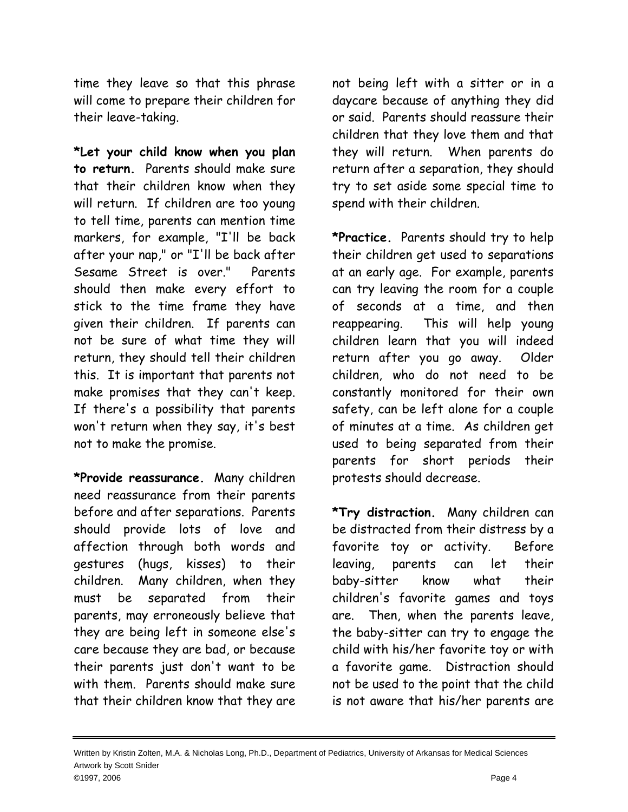time they leave so that this phrase will come to prepare their children for their leave-taking.

**\*Let your child know when you plan to return.** Parents should make sure that their children know when they will return. If children are too young to tell time, parents can mention time markers, for example, "I'll be back after your nap," or "I'll be back after Sesame Street is over." Parents should then make every effort to stick to the time frame they have given their children. If parents can not be sure of what time they will return, they should tell their children this. It is important that parents not make promises that they can't keep. If there's a possibility that parents won't return when they say, it's best not to make the promise.

**\*Provide reassurance.** Many children need reassurance from their parents before and after separations. Parents should provide lots of love and affection through both words and gestures (hugs, kisses) to their children. Many children, when they must be separated from their parents, may erroneously believe that they are being left in someone else's care because they are bad, or because their parents just don't want to be with them. Parents should make sure that their children know that they are

not being left with a sitter or in a daycare because of anything they did or said. Parents should reassure their children that they love them and that they will return. When parents do return after a separation, they should try to set aside some special time to spend with their children.

**\*Practice.** Parents should try to help their children get used to separations at an early age. For example, parents can try leaving the room for a couple of seconds at a time, and then reappearing. This will help young children learn that you will indeed return after you go away. Older children, who do not need to be constantly monitored for their own safety, can be left alone for a couple of minutes at a time. As children get used to being separated from their parents for short periods their protests should decrease.

**\*Try distraction.** Many children can be distracted from their distress by a favorite toy or activity. Before leaving, parents can let their baby-sitter know what their children's favorite games and toys are. Then, when the parents leave, the baby-sitter can try to engage the child with his/her favorite toy or with a favorite game. Distraction should not be used to the point that the child is not aware that his/her parents are